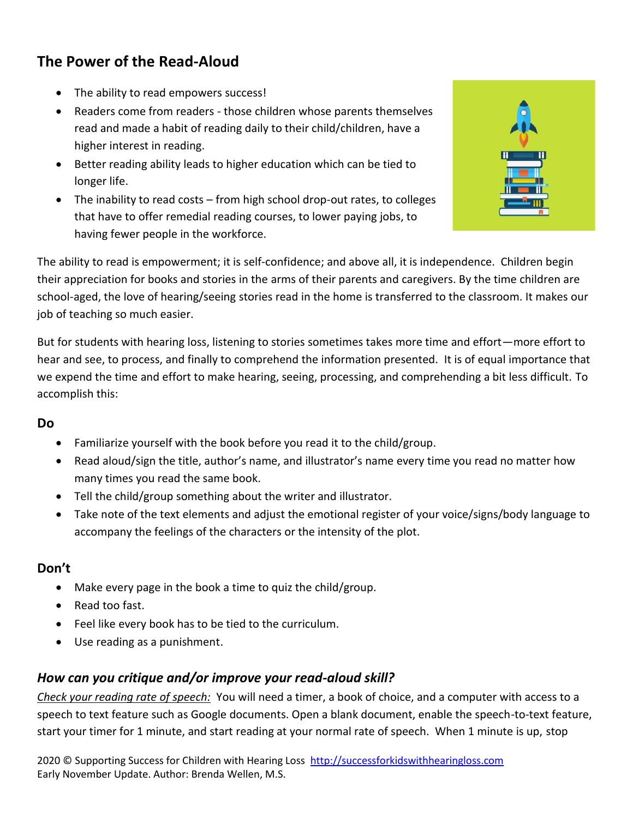# **The Power of the Read-Aloud**

- The ability to read empowers success!
- Readers come from readers those children whose parents themselves read and made a habit of reading daily to their child/children, have a higher interest in reading.
- Better reading ability leads to higher education which can be tied to longer life.
- The inability to read costs from high school drop-out rates, to colleges that have to offer remedial reading courses, to lower paying jobs, to having fewer people in the workforce.



The ability to read is empowerment; it is self-confidence; and above all, it is independence. Children begin their appreciation for books and stories in the arms of their parents and caregivers. By the time children are school-aged, the love of hearing/seeing stories read in the home is transferred to the classroom. It makes our job of teaching so much easier.

But for students with hearing loss, listening to stories sometimes takes more time and effort—more effort to hear and see, to process, and finally to comprehend the information presented. It is of equal importance that we expend the time and effort to make hearing, seeing, processing, and comprehending a bit less difficult. To accomplish this:

### **Do**

- Familiarize yourself with the book before you read it to the child/group.
- Read aloud/sign the title, author's name, and illustrator's name every time you read no matter how many times you read the same book.
- Tell the child/group something about the writer and illustrator.
- Take note of the text elements and adjust the emotional register of your voice/signs/body language to accompany the feelings of the characters or the intensity of the plot.

## **Don't**

- Make every page in the book a time to quiz the child/group.
- Read too fast.
- Feel like every book has to be tied to the curriculum.
- Use reading as a punishment.

## *How can you critique and/or improve your read-aloud skill?*

*Check your reading rate of speech:* You will need a timer, a book of choice, and a computer with access to a speech to text feature such as Google documents. Open a blank document, enable the speech-to-text feature, start your timer for 1 minute, and start reading at your normal rate of speech. When 1 minute is up, stop

2020 © Supporting Success for Children with Hearing Loss [http://successforkidswithhearingloss.com](http://successforkidswithhearingloss.com/) Early November Update. Author: Brenda Wellen, M.S.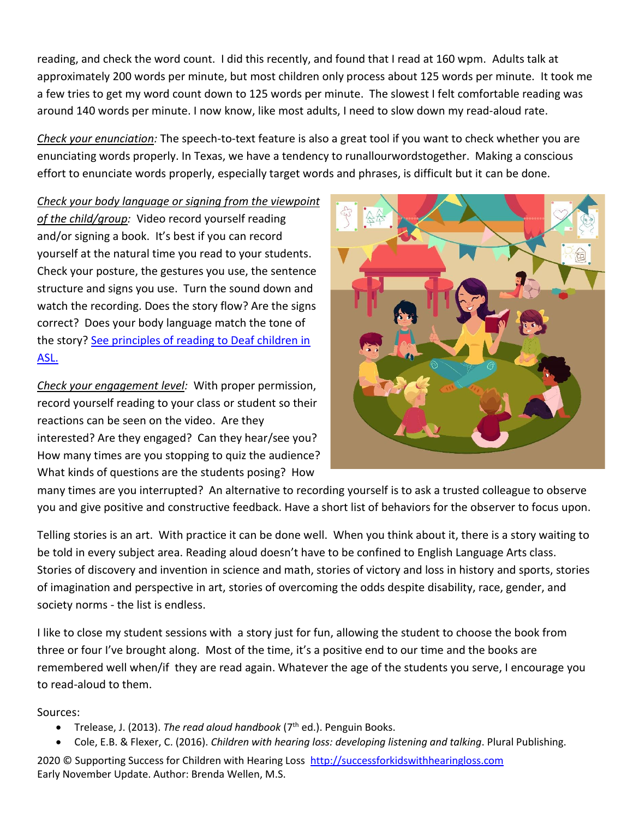reading, and check the word count. I did this recently, and found that I read at 160 wpm. Adults talk at approximately 200 words per minute, but most children only process about 125 words per minute. It took me a few tries to get my word count down to 125 words per minute. The slowest I felt comfortable reading was around 140 words per minute. I now know, like most adults, I need to slow down my read-aloud rate.

*Check your enunciation:* The speech-to-text feature is also a great tool if you want to check whether you are enunciating words properly. In Texas, we have a tendency to runallourwordstogether. Making a conscious effort to enunciate words properly, especially target words and phrases, is difficult but it can be done.

*Check your body language or signing from the viewpoint of the child/group:* Video record yourself reading and/or signing a book. It's best if you can record yourself at the natural time you read to your students. Check your posture, the gestures you use, the sentence structure and signs you use. Turn the sound down and watch the recording. Does the story flow? Are the signs correct? Does your body language match the tone of the story? See principles of reading to Deaf children in [ASL.](https://www3.gallaudet.edu/clerc-center/info-to-go/literacy/literacy-it-all-connects/reading-to-students.html)

*Check your engagement level:* With proper permission, record yourself reading to your class or student so their reactions can be seen on the video. Are they interested? Are they engaged? Can they hear/see you? How many times are you stopping to quiz the audience? What kinds of questions are the students posing? How



many times are you interrupted? An alternative to recording yourself is to ask a trusted colleague to observe you and give positive and constructive feedback. Have a short list of behaviors for the observer to focus upon.

Telling stories is an art. With practice it can be done well. When you think about it, there is a story waiting to be told in every subject area. Reading aloud doesn't have to be confined to English Language Arts class. Stories of discovery and invention in science and math, stories of victory and loss in history and sports, stories of imagination and perspective in art, stories of overcoming the odds despite disability, race, gender, and society norms - the list is endless.

I like to close my student sessions with a story just for fun, allowing the student to choose the book from three or four I've brought along. Most of the time, it's a positive end to our time and the books are remembered well when/if they are read again. Whatever the age of the students you serve, I encourage you to read-aloud to them.

### Sources:

- Trelease, J. (2013). *The read aloud handbook* (7<sup>th</sup> ed.). Penguin Books.
- Cole, E.B. & Flexer, C. (2016). *Children with hearing loss: developing listening and talking*. Plural Publishing.

2020 © Supporting Success for Children with Hearing Loss [http://successforkidswithhearingloss.com](http://successforkidswithhearingloss.com/) Early November Update. Author: Brenda Wellen, M.S.